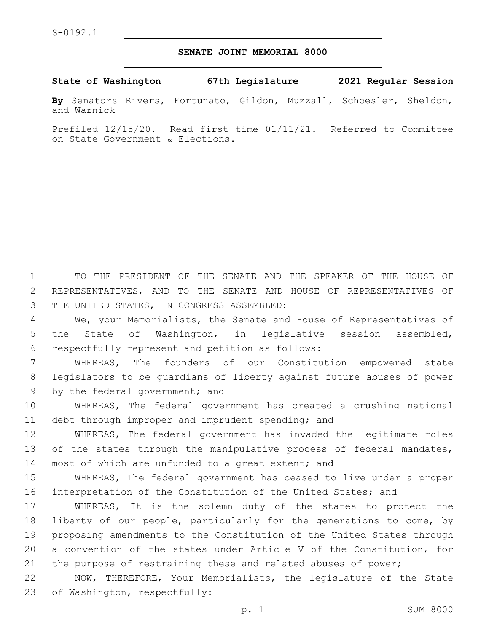## **SENATE JOINT MEMORIAL 8000**

**State of Washington 67th Legislature 2021 Regular Session**

**By** Senators Rivers, Fortunato, Gildon, Muzzall, Schoesler, Sheldon, and Warnick

Prefiled 12/15/20. Read first time 01/11/21. Referred to Committee on State Government & Elections.

1 TO THE PRESIDENT OF THE SENATE AND THE SPEAKER OF THE HOUSE OF 2 REPRESENTATIVES, AND TO THE SENATE AND HOUSE OF REPRESENTATIVES OF 3 THE UNITED STATES, IN CONGRESS ASSEMBLED:

4 We, your Memorialists, the Senate and House of Representatives of 5 the State of Washington, in legislative session assembled, respectfully represent and petition as follows:6

7 WHEREAS, The founders of our Constitution empowered state 8 legislators to be guardians of liberty against future abuses of power 9 by the federal government; and

10 WHEREAS, The federal government has created a crushing national 11 debt through improper and imprudent spending; and

12 WHEREAS, The federal government has invaded the legitimate roles 13 of the states through the manipulative process of federal mandates, 14 most of which are unfunded to a great extent; and

15 WHEREAS, The federal government has ceased to live under a proper 16 interpretation of the Constitution of the United States; and

 WHEREAS, It is the solemn duty of the states to protect the liberty of our people, particularly for the generations to come, by proposing amendments to the Constitution of the United States through a convention of the states under Article V of the Constitution, for the purpose of restraining these and related abuses of power;

22 NOW, THEREFORE, Your Memorialists, the legislature of the State 23 of Washington, respectfully: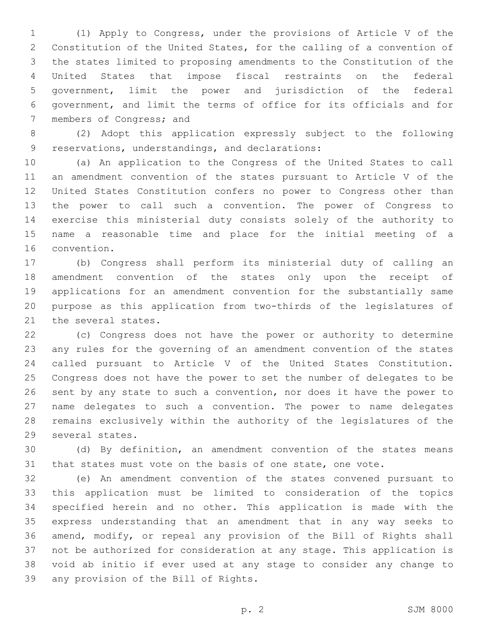(1) Apply to Congress, under the provisions of Article V of the Constitution of the United States, for the calling of a convention of the states limited to proposing amendments to the Constitution of the United States that impose fiscal restraints on the federal government, limit the power and jurisdiction of the federal government, and limit the terms of office for its officials and for 7 members of Congress; and

 (2) Adopt this application expressly subject to the following 9 reservations, understandings, and declarations:

 (a) An application to the Congress of the United States to call an amendment convention of the states pursuant to Article V of the United States Constitution confers no power to Congress other than the power to call such a convention. The power of Congress to exercise this ministerial duty consists solely of the authority to name a reasonable time and place for the initial meeting of a 16 convention.

 (b) Congress shall perform its ministerial duty of calling an amendment convention of the states only upon the receipt of applications for an amendment convention for the substantially same purpose as this application from two-thirds of the legislatures of 21 the several states.

 (c) Congress does not have the power or authority to determine any rules for the governing of an amendment convention of the states called pursuant to Article V of the United States Constitution. Congress does not have the power to set the number of delegates to be sent by any state to such a convention, nor does it have the power to name delegates to such a convention. The power to name delegates remains exclusively within the authority of the legislatures of the 29 several states.

 (d) By definition, an amendment convention of the states means that states must vote on the basis of one state, one vote.

 (e) An amendment convention of the states convened pursuant to this application must be limited to consideration of the topics specified herein and no other. This application is made with the express understanding that an amendment that in any way seeks to amend, modify, or repeal any provision of the Bill of Rights shall not be authorized for consideration at any stage. This application is void ab initio if ever used at any stage to consider any change to 39 any provision of the Bill of Rights.